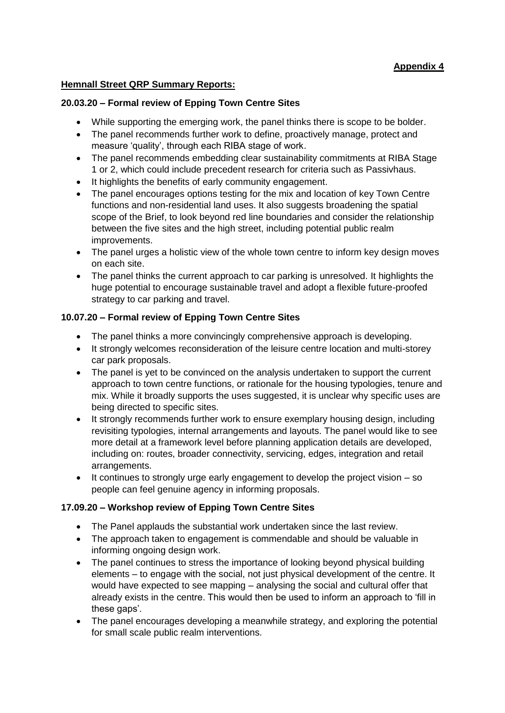# **Appendix 4**

### **Hemnall Street QRP Summary Reports:**

#### **20.03.20 – Formal review of Epping Town Centre Sites**

- While supporting the emerging work, the panel thinks there is scope to be bolder.
- The panel recommends further work to define, proactively manage, protect and measure 'quality', through each RIBA stage of work.
- The panel recommends embedding clear sustainability commitments at RIBA Stage 1 or 2, which could include precedent research for criteria such as Passivhaus.
- It highlights the benefits of early community engagement.
- The panel encourages options testing for the mix and location of key Town Centre functions and non-residential land uses. It also suggests broadening the spatial scope of the Brief, to look beyond red line boundaries and consider the relationship between the five sites and the high street, including potential public realm improvements.
- The panel urges a holistic view of the whole town centre to inform key design moves on each site.
- The panel thinks the current approach to car parking is unresolved. It highlights the huge potential to encourage sustainable travel and adopt a flexible future-proofed strategy to car parking and travel.

### **10.07.20 – Formal review of Epping Town Centre Sites**

- The panel thinks a more convincingly comprehensive approach is developing.
- It strongly welcomes reconsideration of the leisure centre location and multi-storey car park proposals.
- The panel is yet to be convinced on the analysis undertaken to support the current approach to town centre functions, or rationale for the housing typologies, tenure and mix. While it broadly supports the uses suggested, it is unclear why specific uses are being directed to specific sites.
- It strongly recommends further work to ensure exemplary housing design, including revisiting typologies, internal arrangements and layouts. The panel would like to see more detail at a framework level before planning application details are developed, including on: routes, broader connectivity, servicing, edges, integration and retail arrangements.
- It continues to strongly urge early engagement to develop the project vision so people can feel genuine agency in informing proposals.

## **17.09.20 – Workshop review of Epping Town Centre Sites**

- The Panel applauds the substantial work undertaken since the last review.
- The approach taken to engagement is commendable and should be valuable in informing ongoing design work.
- The panel continues to stress the importance of looking beyond physical building elements – to engage with the social, not just physical development of the centre. It would have expected to see mapping – analysing the social and cultural offer that already exists in the centre. This would then be used to inform an approach to 'fill in these gaps'.
- The panel encourages developing a meanwhile strategy, and exploring the potential for small scale public realm interventions.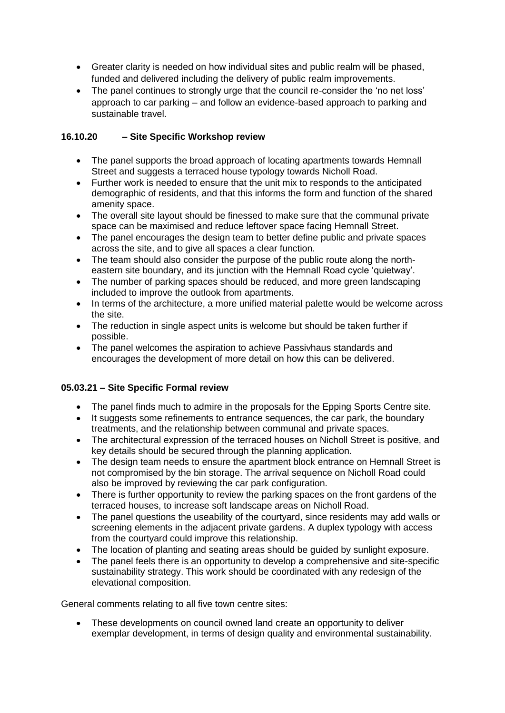- Greater clarity is needed on how individual sites and public realm will be phased, funded and delivered including the delivery of public realm improvements.
- The panel continues to strongly urge that the council re-consider the 'no net loss' approach to car parking – and follow an evidence-based approach to parking and sustainable travel.

## **16.10.20 – Site Specific Workshop review**

- The panel supports the broad approach of locating apartments towards Hemnall Street and suggests a terraced house typology towards Nicholl Road.
- Further work is needed to ensure that the unit mix to responds to the anticipated demographic of residents, and that this informs the form and function of the shared amenity space.
- The overall site layout should be finessed to make sure that the communal private space can be maximised and reduce leftover space facing Hemnall Street.
- The panel encourages the design team to better define public and private spaces across the site, and to give all spaces a clear function.
- The team should also consider the purpose of the public route along the northeastern site boundary, and its junction with the Hemnall Road cycle 'quietway'.
- The number of parking spaces should be reduced, and more green landscaping included to improve the outlook from apartments.
- In terms of the architecture, a more unified material palette would be welcome across the site.
- The reduction in single aspect units is welcome but should be taken further if possible.
- The panel welcomes the aspiration to achieve Passivhaus standards and encourages the development of more detail on how this can be delivered.

## **05.03.21 – Site Specific Formal review**

- The panel finds much to admire in the proposals for the Epping Sports Centre site.
- It suggests some refinements to entrance sequences, the car park, the boundary treatments, and the relationship between communal and private spaces.
- The architectural expression of the terraced houses on Nicholl Street is positive, and key details should be secured through the planning application.
- The design team needs to ensure the apartment block entrance on Hemnall Street is not compromised by the bin storage. The arrival sequence on Nicholl Road could also be improved by reviewing the car park configuration.
- There is further opportunity to review the parking spaces on the front gardens of the terraced houses, to increase soft landscape areas on Nicholl Road.
- The panel questions the useability of the courtyard, since residents may add walls or screening elements in the adjacent private gardens. A duplex typology with access from the courtyard could improve this relationship.
- The location of planting and seating areas should be guided by sunlight exposure.
- The panel feels there is an opportunity to develop a comprehensive and site-specific sustainability strategy. This work should be coordinated with any redesign of the elevational composition.

General comments relating to all five town centre sites:

 These developments on council owned land create an opportunity to deliver exemplar development, in terms of design quality and environmental sustainability.